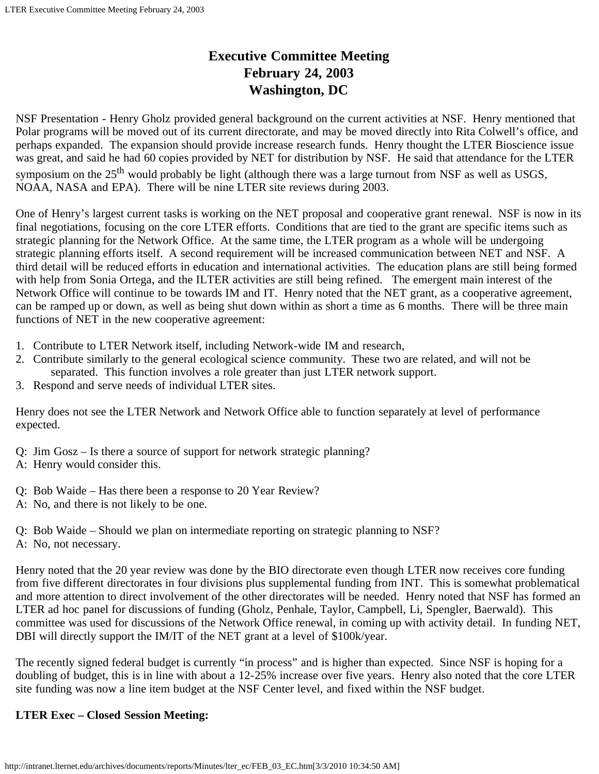# **Executive Committee Meeting February 24, 2003 Washington, DC**

NSF Presentation - Henry Gholz provided general background on the current activities at NSF. Henry mentioned that Polar programs will be moved out of its current directorate, and may be moved directly into Rita Colwell's office, and perhaps expanded. The expansion should provide increase research funds. Henry thought the LTER Bioscience issue was great, and said he had 60 copies provided by NET for distribution by NSF. He said that attendance for the LTER symposium on the 25<sup>th</sup> would probably be light (although there was a large turnout from NSF as well as USGS, NOAA, NASA and EPA). There will be nine LTER site reviews during 2003.

One of Henry's largest current tasks is working on the NET proposal and cooperative grant renewal. NSF is now in its final negotiations, focusing on the core LTER efforts. Conditions that are tied to the grant are specific items such as strategic planning for the Network Office. At the same time, the LTER program as a whole will be undergoing strategic planning efforts itself. A second requirement will be increased communication between NET and NSF. A third detail will be reduced efforts in education and international activities. The education plans are still being formed with help from Sonia Ortega, and the ILTER activities are still being refined. The emergent main interest of the Network Office will continue to be towards IM and IT. Henry noted that the NET grant, as a cooperative agreement, can be ramped up or down, as well as being shut down within as short a time as 6 months. There will be three main functions of NET in the new cooperative agreement:

- 1. Contribute to LTER Network itself, including Network-wide IM and research,
- 2. Contribute similarly to the general ecological science community. These two are related, and will not be separated. This function involves a role greater than just LTER network support.
- 3. Respond and serve needs of individual LTER sites.

Henry does not see the LTER Network and Network Office able to function separately at level of performance expected.

- Q: Jim Gosz Is there a source of support for network strategic planning?
- A: Henry would consider this.
- Q: Bob Waide Has there been a response to 20 Year Review?
- A: No, and there is not likely to be one.
- Q: Bob Waide Should we plan on intermediate reporting on strategic planning to NSF?
- A: No, not necessary.

Henry noted that the 20 year review was done by the BIO directorate even though LTER now receives core funding from five different directorates in four divisions plus supplemental funding from INT. This is somewhat problematical and more attention to direct involvement of the other directorates will be needed. Henry noted that NSF has formed an LTER ad hoc panel for discussions of funding (Gholz, Penhale, Taylor, Campbell, Li, Spengler, Baerwald). This committee was used for discussions of the Network Office renewal, in coming up with activity detail. In funding NET, DBI will directly support the IM/IT of the NET grant at a level of \$100k/year.

The recently signed federal budget is currently "in process" and is higher than expected. Since NSF is hoping for a doubling of budget, this is in line with about a 12-25% increase over five years. Henry also noted that the core LTER site funding was now a line item budget at the NSF Center level, and fixed within the NSF budget.

## **LTER Exec – Closed Session Meeting:**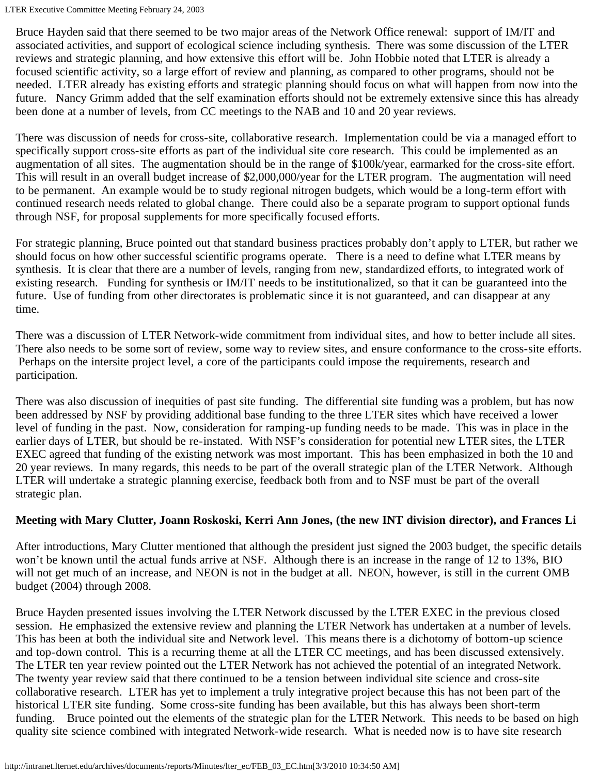LTER Executive Committee Meeting February 24, 2003

Bruce Hayden said that there seemed to be two major areas of the Network Office renewal: support of IM/IT and associated activities, and support of ecological science including synthesis. There was some discussion of the LTER reviews and strategic planning, and how extensive this effort will be. John Hobbie noted that LTER is already a focused scientific activity, so a large effort of review and planning, as compared to other programs, should not be needed. LTER already has existing efforts and strategic planning should focus on what will happen from now into the future. Nancy Grimm added that the self examination efforts should not be extremely extensive since this has already been done at a number of levels, from CC meetings to the NAB and 10 and 20 year reviews.

There was discussion of needs for cross-site, collaborative research. Implementation could be via a managed effort to specifically support cross-site efforts as part of the individual site core research. This could be implemented as an augmentation of all sites. The augmentation should be in the range of \$100k/year, earmarked for the cross-site effort. This will result in an overall budget increase of \$2,000,000/year for the LTER program. The augmentation will need to be permanent. An example would be to study regional nitrogen budgets, which would be a long-term effort with continued research needs related to global change. There could also be a separate program to support optional funds through NSF, for proposal supplements for more specifically focused efforts.

For strategic planning, Bruce pointed out that standard business practices probably don't apply to LTER, but rather we should focus on how other successful scientific programs operate. There is a need to define what LTER means by synthesis. It is clear that there are a number of levels, ranging from new, standardized efforts, to integrated work of existing research. Funding for synthesis or IM/IT needs to be institutionalized, so that it can be guaranteed into the future. Use of funding from other directorates is problematic since it is not guaranteed, and can disappear at any time.

There was a discussion of LTER Network-wide commitment from individual sites, and how to better include all sites. There also needs to be some sort of review, some way to review sites, and ensure conformance to the cross-site efforts. Perhaps on the intersite project level, a core of the participants could impose the requirements, research and participation.

There was also discussion of inequities of past site funding. The differential site funding was a problem, but has now been addressed by NSF by providing additional base funding to the three LTER sites which have received a lower level of funding in the past. Now, consideration for ramping-up funding needs to be made. This was in place in the earlier days of LTER, but should be re-instated. With NSF's consideration for potential new LTER sites, the LTER EXEC agreed that funding of the existing network was most important. This has been emphasized in both the 10 and 20 year reviews. In many regards, this needs to be part of the overall strategic plan of the LTER Network. Although LTER will undertake a strategic planning exercise, feedback both from and to NSF must be part of the overall strategic plan.

## **Meeting with Mary Clutter, Joann Roskoski, Kerri Ann Jones, (the new INT division director), and Frances Li**

After introductions, Mary Clutter mentioned that although the president just signed the 2003 budget, the specific details won't be known until the actual funds arrive at NSF. Although there is an increase in the range of 12 to 13%, BIO will not get much of an increase, and NEON is not in the budget at all. NEON, however, is still in the current OMB budget (2004) through 2008.

Bruce Hayden presented issues involving the LTER Network discussed by the LTER EXEC in the previous closed session. He emphasized the extensive review and planning the LTER Network has undertaken at a number of levels. This has been at both the individual site and Network level. This means there is a dichotomy of bottom-up science and top-down control. This is a recurring theme at all the LTER CC meetings, and has been discussed extensively. The LTER ten year review pointed out the LTER Network has not achieved the potential of an integrated Network. The twenty year review said that there continued to be a tension between individual site science and cross-site collaborative research. LTER has yet to implement a truly integrative project because this has not been part of the historical LTER site funding. Some cross-site funding has been available, but this has always been short-term funding. Bruce pointed out the elements of the strategic plan for the LTER Network. This needs to be based on high quality site science combined with integrated Network-wide research. What is needed now is to have site research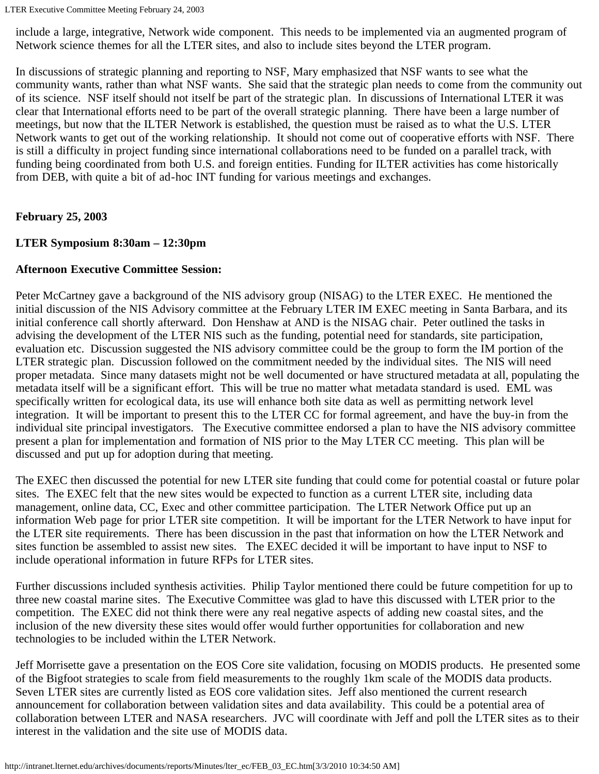LTER Executive Committee Meeting February 24, 2003

include a large, integrative, Network wide component. This needs to be implemented via an augmented program of Network science themes for all the LTER sites, and also to include sites beyond the LTER program.

In discussions of strategic planning and reporting to NSF, Mary emphasized that NSF wants to see what the community wants, rather than what NSF wants. She said that the strategic plan needs to come from the community out of its science. NSF itself should not itself be part of the strategic plan. In discussions of International LTER it was clear that International efforts need to be part of the overall strategic planning. There have been a large number of meetings, but now that the ILTER Network is established, the question must be raised as to what the U.S. LTER Network wants to get out of the working relationship. It should not come out of cooperative efforts with NSF. There is still a difficulty in project funding since international collaborations need to be funded on a parallel track, with funding being coordinated from both U.S. and foreign entities. Funding for ILTER activities has come historically from DEB, with quite a bit of ad-hoc INT funding for various meetings and exchanges.

## **February 25, 2003**

## **LTER Symposium 8:30am – 12:30pm**

## **Afternoon Executive Committee Session:**

Peter McCartney gave a background of the NIS advisory group (NISAG) to the LTER EXEC. He mentioned the initial discussion of the NIS Advisory committee at the February LTER IM EXEC meeting in Santa Barbara, and its initial conference call shortly afterward. Don Henshaw at AND is the NISAG chair. Peter outlined the tasks in advising the development of the LTER NIS such as the funding, potential need for standards, site participation, evaluation etc. Discussion suggested the NIS advisory committee could be the group to form the IM portion of the LTER strategic plan. Discussion followed on the commitment needed by the individual sites. The NIS will need proper metadata. Since many datasets might not be well documented or have structured metadata at all, populating the metadata itself will be a significant effort. This will be true no matter what metadata standard is used. EML was specifically written for ecological data, its use will enhance both site data as well as permitting network level integration. It will be important to present this to the LTER CC for formal agreement, and have the buy-in from the individual site principal investigators. The Executive committee endorsed a plan to have the NIS advisory committee present a plan for implementation and formation of NIS prior to the May LTER CC meeting. This plan will be discussed and put up for adoption during that meeting.

The EXEC then discussed the potential for new LTER site funding that could come for potential coastal or future polar sites. The EXEC felt that the new sites would be expected to function as a current LTER site, including data management, online data, CC, Exec and other committee participation. The LTER Network Office put up an information Web page for prior LTER site competition. It will be important for the LTER Network to have input for the LTER site requirements. There has been discussion in the past that information on how the LTER Network and sites function be assembled to assist new sites. The EXEC decided it will be important to have input to NSF to include operational information in future RFPs for LTER sites.

Further discussions included synthesis activities. Philip Taylor mentioned there could be future competition for up to three new coastal marine sites. The Executive Committee was glad to have this discussed with LTER prior to the competition. The EXEC did not think there were any real negative aspects of adding new coastal sites, and the inclusion of the new diversity these sites would offer would further opportunities for collaboration and new technologies to be included within the LTER Network.

Jeff Morrisette gave a presentation on the EOS Core site validation, focusing on MODIS products. He presented some of the Bigfoot strategies to scale from field measurements to the roughly 1km scale of the MODIS data products. Seven LTER sites are currently listed as EOS core validation sites. Jeff also mentioned the current research announcement for collaboration between validation sites and data availability. This could be a potential area of collaboration between LTER and NASA researchers. JVC will coordinate with Jeff and poll the LTER sites as to their interest in the validation and the site use of MODIS data.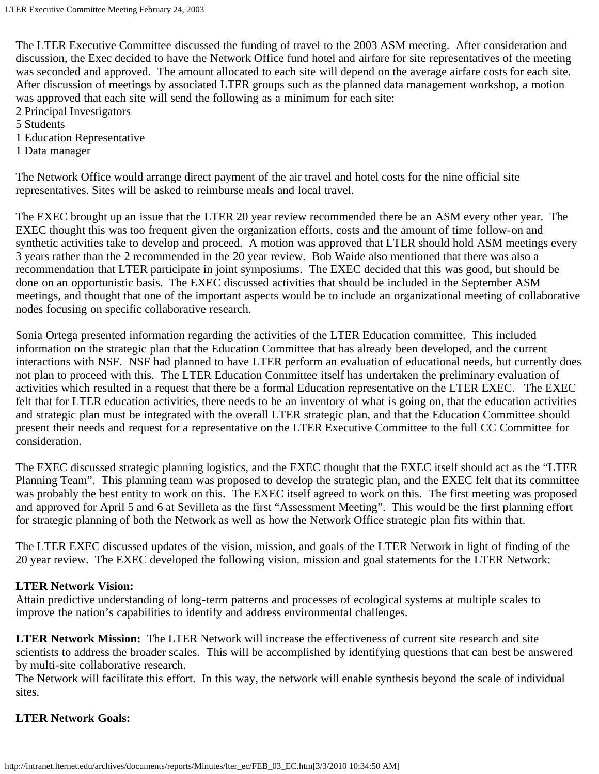The LTER Executive Committee discussed the funding of travel to the 2003 ASM meeting. After consideration and discussion, the Exec decided to have the Network Office fund hotel and airfare for site representatives of the meeting was seconded and approved. The amount allocated to each site will depend on the average airfare costs for each site. After discussion of meetings by associated LTER groups such as the planned data management workshop, a motion was approved that each site will send the following as a minimum for each site:

- 2 Principal Investigators
- 5 Students
- 1 Education Representative
- 1 Data manager

The Network Office would arrange direct payment of the air travel and hotel costs for the nine official site representatives. Sites will be asked to reimburse meals and local travel.

The EXEC brought up an issue that the LTER 20 year review recommended there be an ASM every other year. The EXEC thought this was too frequent given the organization efforts, costs and the amount of time follow-on and synthetic activities take to develop and proceed. A motion was approved that LTER should hold ASM meetings every 3 years rather than the 2 recommended in the 20 year review. Bob Waide also mentioned that there was also a recommendation that LTER participate in joint symposiums. The EXEC decided that this was good, but should be done on an opportunistic basis. The EXEC discussed activities that should be included in the September ASM meetings, and thought that one of the important aspects would be to include an organizational meeting of collaborative nodes focusing on specific collaborative research.

Sonia Ortega presented information regarding the activities of the LTER Education committee. This included information on the strategic plan that the Education Committee that has already been developed, and the current interactions with NSF. NSF had planned to have LTER perform an evaluation of educational needs, but currently does not plan to proceed with this. The LTER Education Committee itself has undertaken the preliminary evaluation of activities which resulted in a request that there be a formal Education representative on the LTER EXEC. The EXEC felt that for LTER education activities, there needs to be an inventory of what is going on, that the education activities and strategic plan must be integrated with the overall LTER strategic plan, and that the Education Committee should present their needs and request for a representative on the LTER Executive Committee to the full CC Committee for consideration.

The EXEC discussed strategic planning logistics, and the EXEC thought that the EXEC itself should act as the "LTER Planning Team". This planning team was proposed to develop the strategic plan, and the EXEC felt that its committee was probably the best entity to work on this. The EXEC itself agreed to work on this. The first meeting was proposed and approved for April 5 and 6 at Sevilleta as the first "Assessment Meeting". This would be the first planning effort for strategic planning of both the Network as well as how the Network Office strategic plan fits within that.

The LTER EXEC discussed updates of the vision, mission, and goals of the LTER Network in light of finding of the 20 year review. The EXEC developed the following vision, mission and goal statements for the LTER Network:

## **LTER Network Vision:**

Attain predictive understanding of long-term patterns and processes of ecological systems at multiple scales to improve the nation's capabilities to identify and address environmental challenges.

**LTER Network Mission:** The LTER Network will increase the effectiveness of current site research and site scientists to address the broader scales. This will be accomplished by identifying questions that can best be answered by multi-site collaborative research.

The Network will facilitate this effort. In this way, the network will enable synthesis beyond the scale of individual sites.

## **LTER Network Goals:**